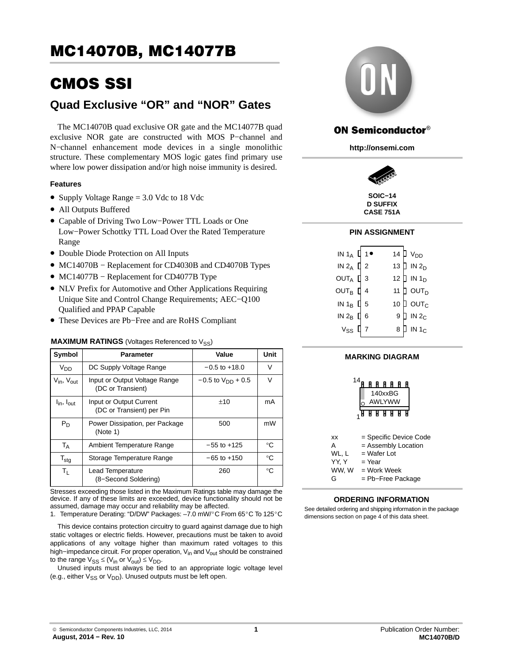# CMOS SSI

## **Quad Exclusive "OR" and "NOR" Gates**

The MC14070B quad exclusive OR gate and the MC14077B quad exclusive NOR gate are constructed with MOS P−channel and N-channel enhancement mode devices in a single monolithic structure. These complementary MOS logic gates find primary use where low power dissipation and/or high noise immunity is desired.

#### **Features**

- Supply Voltage Range = 3.0 Vdc to 18 Vdc
- All Outputs Buffered
- Capable of Driving Two Low−Power TTL Loads or One Low−Power Schottky TTL Load Over the Rated Temperature Range
- Double Diode Protection on All Inputs
- MC14070B − Replacement for CD4030B and CD4070B Types
- MC14077B − Replacement for CD4077B Type
- NLV Prefix for Automotive and Other Applications Requiring Unique Site and Control Change Requirements; AEC−Q100 Qualified and PPAP Capable
- These Devices are Pb−Free and are RoHS Compliant

#### **MAXIMUM RATINGS** (Voltages Referenced to V<sub>SS</sub>)

| Symbol                             | Parameter                                            | Value                    | Unit        |
|------------------------------------|------------------------------------------------------|--------------------------|-------------|
| $V_{DD}$                           | DC Supply Voltage Range                              | $-0.5$ to $+18.0$        | V           |
| $V_{\text{in}}$ , $V_{\text{out}}$ | Input or Output Voltage Range<br>(DC or Transient)   | $-0.5$ to $V_{DD}$ + 0.5 | $\vee$      |
| $I_{\text{in}}$ , $I_{\text{out}}$ | Input or Output Current<br>(DC or Transient) per Pin | ±10                      | mA          |
| $P_D$                              | Power Dissipation, per Package<br>(Note 1)           | 500                      | mW          |
| <b>TA</b>                          | Ambient Temperature Range                            | $-55$ to $+125$          | °C          |
| $T_{\text{stg}}$                   | Storage Temperature Range                            | $-65$ to $+150$          | $^{\circ}C$ |
| Τı.                                | Lead Temperature<br>(8-Second Soldering)             | 260                      | $^{\circ}C$ |

Stresses exceeding those listed in the Maximum Ratings table may damage the device. If any of these limits are exceeded, device functionality should not be assumed, damage may occur and reliability may be affected. 1. Temperature Derating: "D/DW" Packages: –7.0 mW/cted.<br>cted.<br>C From 65°C To 125°C

This device contains protection circuitry to guard against damage due to high static voltages or electric fields. However, precautions must be taken to avoid applications of any voltage higher than maximum rated voltages to this high−impedance circuit. For proper operation, V<sub>in</sub> and V<sub>out</sub> should be constrained to the range  $V_{SS} \leq (V_{in} \text{ or } V_{out}) \leq V_{DD}$ .

Unused inputs must always be tied to an appropriate logic voltage level (e.g., either  $V_{SS}$  or  $V_{DD}$ ). Unused outputs must be left open.



### **ON Semiconductor®**

**http://onsemi.com**



**D SUFFIX CASE 751A**

#### **PIN ASSIGNMENT**

| IN 1 <sub>A</sub> $\prod$ 1 $\bullet$           |  |                 | 14 $V_{DD}$                      |
|-------------------------------------------------|--|-----------------|----------------------------------|
| IN $2_A$ $\begin{bmatrix} 2 \\ 2 \end{bmatrix}$ |  |                 | 13 $\parallel$ IN 2 <sub>D</sub> |
| OUTA $\mathbb{I}$ 3                             |  |                 | 12 $\parallel$ IN 1 <sub>D</sub> |
| OUT <sub>B</sub> $\mathbb{I}$ 4                 |  | 11              | $\natural$ out $_\texttt{D}$     |
| IN $1_B$ $\Box$ 5                               |  | 10 <sup>°</sup> | ] ουτ $_{\rm c}$                 |
| IN $2_B$ $\parallel$ 6                          |  | 9               | $\overline{D}$ IN 2 <sub>C</sub> |
| $v_{ss}$ $\mu$                                  |  | 8               | $\overline{p}$ in 1 <sub>c</sub> |
|                                                 |  |                 |                                  |

#### **MARKING DIAGRAM**



#### **ORDERING INFORMATION**

See detailed ordering and shipping information in the package dimensions section on page [4](#page-3-0) of this data sheet.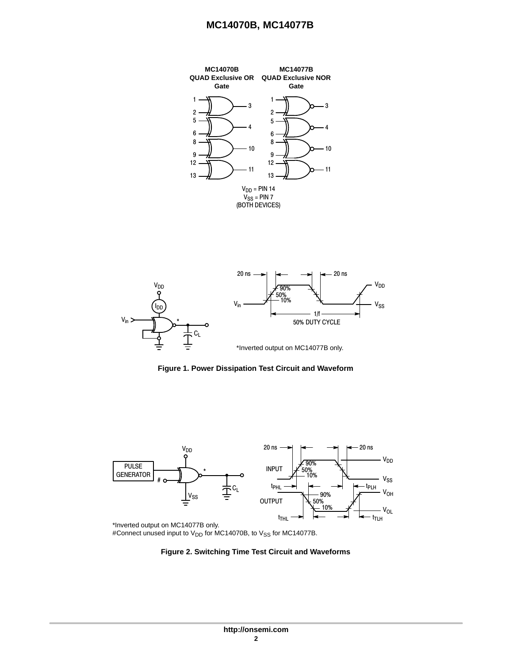



**Figure 1. Power Dissipation Test Circuit and Waveform**



\*Inverted output on MC14077B only. #Connect unused input to  $V_{DD}$  for MC14070B, to  $V_{SS}$  for MC14077B.

#### **Figure 2. Switching Time Test Circuit and Waveforms**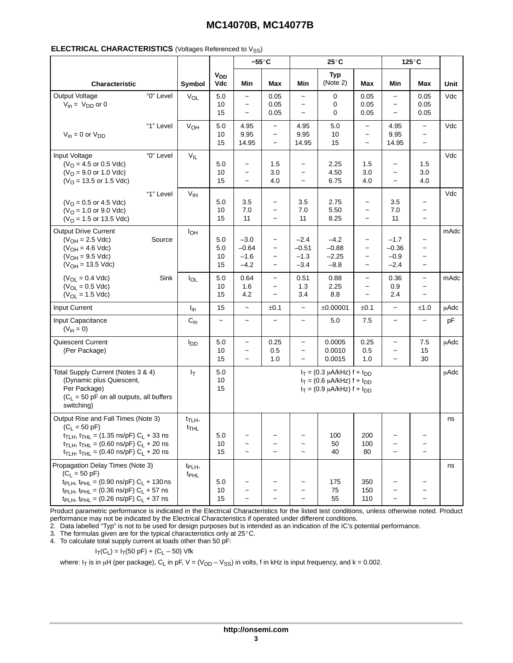|                                                                                                                                                                                                                                                                                                               |           |                                        |                              |                                                                                                                | $-55^{\circ}$ C                                                                                |                                                                    | $25^{\circ}$ C                         |                                                                                                       |                                                             | 125°C                                                                     |             |
|---------------------------------------------------------------------------------------------------------------------------------------------------------------------------------------------------------------------------------------------------------------------------------------------------------------|-----------|----------------------------------------|------------------------------|----------------------------------------------------------------------------------------------------------------|------------------------------------------------------------------------------------------------|--------------------------------------------------------------------|----------------------------------------|-------------------------------------------------------------------------------------------------------|-------------------------------------------------------------|---------------------------------------------------------------------------|-------------|
| Characteristic                                                                                                                                                                                                                                                                                                |           | Symbol                                 | <b>V<sub>DD</sub></b><br>Vdc | Min                                                                                                            | Max                                                                                            | Min                                                                | <b>Typ</b><br>(Note 2)                 | Max                                                                                                   | Min                                                         | Max                                                                       | Unit        |
| Output Voltage<br>$V_{in} = V_{DD}$ or 0                                                                                                                                                                                                                                                                      | "0" Level | $V_{OL}$                               | $5.0$<br>10<br>15            | $\overline{\phantom{0}}$<br>$\overline{\phantom{m}}$<br>$\overline{\phantom{0}}$                               | 0.05<br>0.05<br>0.05                                                                           | $\overline{\phantom{0}}$<br>$\overline{\phantom{0}}$               | 0<br>0<br>0                            | 0.05<br>0.05<br>0.05                                                                                  | $\qquad \qquad -$<br>$\qquad \qquad -$<br>$\qquad \qquad -$ | 0.05<br>0.05<br>0.05                                                      | Vdc         |
| $V_{in} = 0$ or $V_{DD}$                                                                                                                                                                                                                                                                                      | "1" Level | VOH                                    | $5.0$<br>10<br>15            | 4.95<br>9.95<br>14.95                                                                                          | $\overline{\phantom{0}}$<br>$\overline{\phantom{a}}$<br>$\overline{\phantom{a}}$               | 4.95<br>9.95<br>14.95                                              | 5.0<br>10<br>15                        | $\overline{a}$<br>$\qquad \qquad -$<br>$\overline{\phantom{0}}$                                       | 4.95<br>9.95<br>14.95                                       | $\overline{\phantom{0}}$<br>$\qquad \qquad -$<br>$\overline{\phantom{0}}$ | Vdc         |
| Input Voltage<br>$(VO = 4.5$ or 0.5 Vdc)<br>$(VO = 9.0$ or 1.0 Vdc)<br>$(VO = 13.5$ or 1.5 Vdc)                                                                                                                                                                                                               | "0" Level | $\mathsf{V}_{\mathsf{IL}}$             | 5.0<br>10<br>15              | $\qquad \qquad -$<br>$\overline{\phantom{0}}$<br>$\overline{\phantom{0}}$                                      | 1.5<br>3.0<br>4.0                                                                              | -<br>$\overline{\phantom{0}}$<br>$\overline{\phantom{0}}$          | 2.25<br>4.50<br>6.75                   | 1.5<br>3.0<br>4.0                                                                                     | -<br>$\overline{\phantom{0}}$                               | 1.5<br>3.0<br>4.0                                                         | Vdc         |
| $(VO = 0.5$ or 4.5 Vdc)<br>$(VO = 1.0$ or 9.0 Vdc)<br>$(VO = 1.5$ or 13.5 Vdc)                                                                                                                                                                                                                                | "1" Level | $\rm V_{IH}$                           | 5.0<br>10<br>15              | 3.5<br>7.0<br>11                                                                                               | $\overline{\phantom{m}}$<br>$\overline{\phantom{a}}$<br>$\overline{\phantom{0}}$               | 3.5<br>7.0<br>11                                                   | 2.75<br>5.50<br>8.25                   | $\overline{\phantom{0}}$<br>$\overline{\phantom{0}}$<br>$\qquad \qquad -$                             | 3.5<br>7.0<br>11                                            | $\qquad \qquad -$<br>$\qquad \qquad -$<br>$\qquad \qquad -$               | Vdc         |
| <b>Output Drive Current</b><br>$(V_{OH} = 2.5$ Vdc)<br>$(V_{OH} = 4.6$ Vdc)<br>$(V_{OH} = 9.5$ Vdc)<br>$(V_{OH} = 13.5$ Vdc)                                                                                                                                                                                  | Source    | $I_{OH}$                               | 5.0<br>5.0<br>10<br>15       | $-3.0$<br>$-0.64$<br>$-1.6$<br>$-4.2$                                                                          | $\qquad \qquad -$<br>$\overline{\phantom{m}}$<br>$\qquad \qquad -$<br>$\overline{\phantom{a}}$ | $-2.4$<br>$-0.51$<br>$-1.3$<br>$-3.4$                              | $-4.2$<br>$-0.88$<br>$-2.25$<br>$-8.8$ | $\qquad \qquad -$<br>$\overline{\phantom{0}}$<br>$\overline{\phantom{0}}$<br>$\overline{\phantom{0}}$ | $-1.7$<br>$-0.36$<br>$-0.9$<br>$-2.4$                       | $\qquad \qquad -$<br>$\overline{\phantom{0}}$                             | mAdc        |
| $(V_{OL} = 0.4$ Vdc)<br>$(V_{OL} = 0.5$ Vdc)<br>$(V_{OL} = 1.5$ Vdc)                                                                                                                                                                                                                                          | Sink      | $I_{OL}$                               | 5.0<br>10<br>15              | 0.64<br>1.6<br>4.2                                                                                             | $\qquad \qquad -$<br>$\qquad \qquad -$<br>$\overline{\phantom{a}}$                             | 0.51<br>1.3<br>3.4                                                 | 0.88<br>2.25<br>8.8                    | $\equiv$<br>$\overline{\phantom{0}}$<br>$\overline{\phantom{0}}$                                      | 0.36<br>0.9<br>2.4                                          | $\overline{\phantom{0}}$<br>$\overline{\phantom{0}}$                      | mAdc        |
| Input Current                                                                                                                                                                                                                                                                                                 |           | $I_{in}$                               | 15                           | $\overline{\phantom{a}}$                                                                                       | ±0.1                                                                                           | $\overline{\phantom{0}}$                                           | ±0.00001                               | ±0.1                                                                                                  | $\overline{\phantom{0}}$                                    | ±1.0                                                                      | <b>µAdc</b> |
| Input Capacitance<br>$(V_{in} = 0)$                                                                                                                                                                                                                                                                           |           | $C_{in}$                               | $\overline{\phantom{0}}$     | $\overline{\phantom{m}}$                                                                                       |                                                                                                | $\overline{\phantom{0}}$                                           | 5.0                                    | 7.5                                                                                                   | $\overline{\phantom{0}}$                                    | $\qquad \qquad -$                                                         | pF          |
| Quiescent Current<br>(Per Package)                                                                                                                                                                                                                                                                            |           | <b>I</b> <sub>DD</sub>                 | $5.0\,$<br>10<br>15          | $\qquad \qquad -$<br>$\overline{\phantom{m}}$<br>$\qquad \qquad -$                                             | 0.25<br>0.5<br>1.0                                                                             | $\qquad \qquad -$<br>$\qquad \qquad -$<br>$\overline{\phantom{0}}$ | 0.0005<br>0.0010<br>0.0015             | 0.25<br>0.5<br>1.0                                                                                    | $\qquad \qquad -$<br>$\qquad \qquad -$<br>$\qquad \qquad -$ | 7.5<br>15<br>30                                                           | μAdc        |
| Total Supply Current (Notes 3 & 4)<br>(Dynamic plus Quiescent,<br>Per Package)<br>$(C_L = 50$ pF on all outputs, all buffers<br>switching)                                                                                                                                                                    |           | ŀτ                                     | 5.0<br>10<br>15              | $I_T = (0.3 \mu A/kHz) f + I_{DD}$<br>$I_T = (0.6 \mu A/kHz) f + I_{DD}$<br>$I_T = (0.9 \mu A/kHz) f + I_{DD}$ |                                                                                                |                                                                    |                                        |                                                                                                       | <b>µAdc</b>                                                 |                                                                           |             |
| Output Rise and Fall Times (Note 3)<br>$(C_L = 50 \text{ pF})$<br>$t_{\text{T LH}}$ , $t_{\text{THL}}$ = (1.35 ns/pF) $C_{L}$ + 33 ns<br>$t_{\text{TLH}}$ , $t_{\text{THL}} = (0.60 \text{ ns/pF}) C_{\text{L}} + 20 \text{ ns}$<br>$t_{\text{TLH}}$ , $t_{\text{THL}}$ = (0.40 ns/pF) C <sub>L</sub> + 20 ns |           | $t_{\text{TLH}}$<br>t <sub>THL</sub>   | 5.0<br>10<br>15              | $\overline{\phantom{0}}$<br>$\overline{\phantom{0}}$                                                           |                                                                                                | $\overline{\phantom{0}}$<br>$\overline{\phantom{0}}$               | 100<br>50<br>40                        | 200<br>100<br>80                                                                                      | $\overline{\phantom{0}}$                                    | $\qquad \qquad -$<br>$\qquad \qquad -$                                    | ns          |
| Propagation Delay Times (Note 3)<br>$(C_L = 50 \text{ pF})$<br>t <sub>PLH</sub> , t <sub>PHL</sub> = (0.90 ns/pF) $C_L$ + 130 ns<br>t <sub>PLH</sub> , t <sub>PHL</sub> = (0.36 ns/pF) $C_L$ + 57 ns<br>$t_{PLH}$ , $t_{PHL}$ = (0.26 ns/pF) $C_L$ + 37 ns                                                    |           | t <sub>PLH</sub> ,<br>t <sub>PHL</sub> | 5.0<br>10<br>15              |                                                                                                                |                                                                                                | $\overline{\phantom{m}}$<br>$\overline{\phantom{0}}$               | 175<br>75<br>55                        | 350<br>150<br>110                                                                                     |                                                             |                                                                           | ns          |

Product parametric performance is indicated in the Electrical Characteristics for the listed test conditions, unless otherwise noted. Product performance may not be indicated by the Electrical Characteristics if operated under different conditions.

2. Data labelled "Typ" is not to be used for design purposes but is intended as an indication of the IC's potential performance. 3. The formulas given are for the typical characteristics only at 25-C.

4. To calculate total supply current at loads other than 50 pF:

 $I_T(C_L) = I_T(50 \text{ pF}) + (C_L - 50) \text{ Vfk}$ 

where: I<sub>T</sub> is in µH (per package), C<sub>L</sub> in pF, V = (V<sub>DD</sub> – V<sub>SS</sub>) in volts, f in kHz is input frequency, and k = 0.002.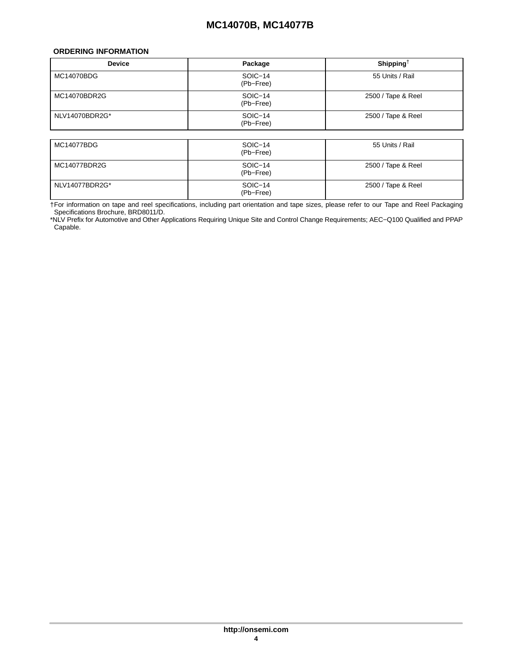#### <span id="page-3-0"></span>**ORDERING INFORMATION**

I

| <b>Device</b>     | Package              | Shipping <sup>+</sup> |  |  |  |
|-------------------|----------------------|-----------------------|--|--|--|
| <b>MC14070BDG</b> | SOIC-14<br>(Pb-Free) | 55 Units / Rail       |  |  |  |
| MC14070BDR2G      | SOIC-14<br>(Pb-Free) | 2500 / Tape & Reel    |  |  |  |
| NLV14070BDR2G*    | SOIC-14<br>(Pb-Free) | 2500 / Tape & Reel    |  |  |  |
|                   |                      |                       |  |  |  |
| <b>MC14077BDG</b> | SOIC-14<br>(Pb-Free) | 55 Units / Rail       |  |  |  |
| MC14077BDR2G      | SOIC-14<br>(Pb-Free) | 2500 / Tape & Reel    |  |  |  |
| NLV14077BDR2G*    | SOIC-14<br>(Pb-Free) | 2500 / Tape & Reel    |  |  |  |

†For information on tape and reel specifications, including part orientation and tape sizes, please refer to our Tape and Reel Packaging Specifications Brochure, BRD8011/D.

\*NLV Prefix for Automotive and Other Applications Requiring Unique Site and Control Change Requirements; AEC−Q100 Qualified and PPAP Capable.